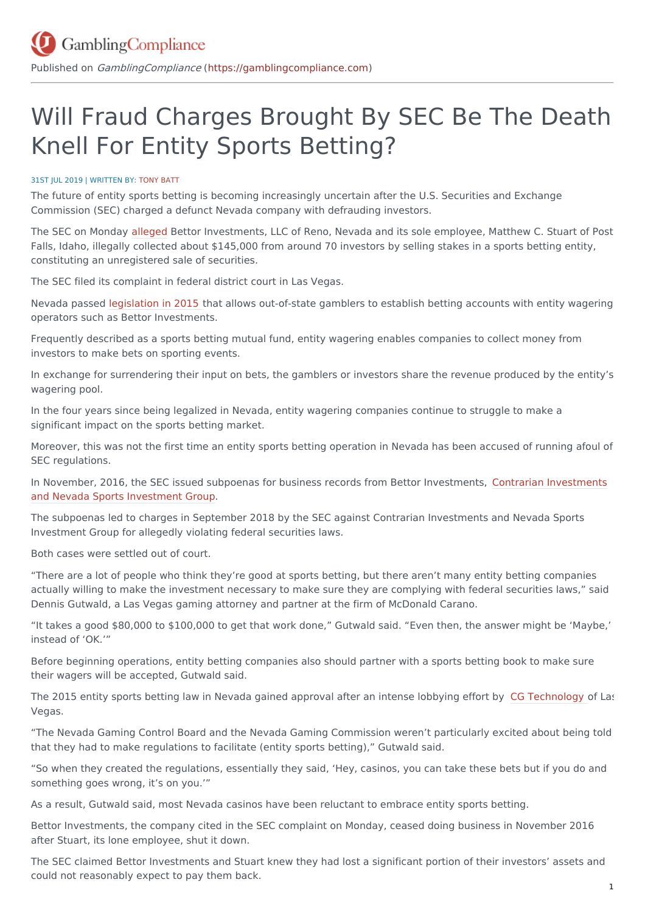# Will Fraud Charges Brought By SEC Be The Death Knell For Entity Sports Betting?

#### 31ST JUL 2019 | WRITTEN BY: [TONY](https://gamblingcompliance.com/users/tonybatt) BATT

The future of entity sports betting is becoming increasingly uncertain after the U.S. Securities and Exchange Commission (SEC) charged a defunct Nevada company with defrauding investors.

The SEC on Monday [alleged](https://www.sec.gov/litigation/litreleases/2019/lr24547.htm%5D) Bettor Investments, LLC of Reno, Nevada and its sole employee, Matthew C. Stuart of Post Falls, Idaho, illegally collected about \$145,000 from around 70 investors by selling stakes in a sports betting entity, constituting an unregistered sale of securities.

The SEC filed its complaint in federal district court in Las Vegas.

Nevada passed [legislation](https://gamblingcompliance.com/premium-content/news_analysis/nevada-invites-businesses-investors-bet-sports) in 2015 that allows out-of-state gamblers to establish betting accounts with entity wagering operators such as Bettor Investments.

Frequently described as a sports betting mutual fund, entity wagering enables companies to collect money from investors to make bets on sporting events.

In exchange for surrendering their input on bets, the gamblers or investors share the revenue produced by the entity's wagering pool.

In the four years since being legalized in Nevada, entity wagering companies continue to struggle to make a significant impact on the sports betting market.

Moreover, this was not the first time an entity sports betting operation in Nevada has been accused of running afoul of SEC regulations.

In November, 2016, the SEC issued subpoenas for business records from Bettor [Investments,](https://gamblingcompliance.com/premium-content/insights_analysis/nevada-entity-wagering-funds-confirm-sec-probe) Contrarian Investments and Nevada Sports Investment Group.

The subpoenas led to charges in September 2018 by the SEC against Contrarian Investments and Nevada Sports Investment Group for allegedly violating federal securities laws.

Both cases were settled out of court.

"There are a lot of people who think they're good at sports betting, but there aren't many entity betting companies actually willing to make the investment necessary to make sure they are complying with federal securities laws," said Dennis Gutwald, a Las Vegas gaming attorney and partner at the firm of McDonald Carano.

"It takes a good \$80,000 to \$100,000 to get that work done," Gutwald said. "Even then, the answer might be 'Maybe,' instead of 'OK.'"

Before beginning operations, entity betting companies also should partner with a sports betting book to make sure their wagers will be accepted, Gutwald said.

The 2015 entity sports betting law in Nevada gained approval after an intense lobbying effort by CG [Technology](https://gamblingcompliance.com/premium-content/insights_analysis/cg-technology-facing-2m-penalty-under-revised-nevada-settlement) of Las Vegas.

"The Nevada Gaming Control Board and the Nevada Gaming Commission weren't particularly excited about being told that they had to make regulations to facilitate (entity sports betting)," Gutwald said.

"So when they created the regulations, essentially they said, 'Hey, casinos, you can take these bets but if you do and something goes wrong, it's on you.'"

As a result, Gutwald said, most Nevada casinos have been reluctant to embrace entity sports betting.

Bettor Investments, the company cited in the SEC complaint on Monday, ceased doing business in November 2016 after Stuart, its lone employee, shut it down.

The SEC claimed Bettor Investments and Stuart knew they had lost a significant portion of their investors' assets and could not reasonably expect to pay them back.